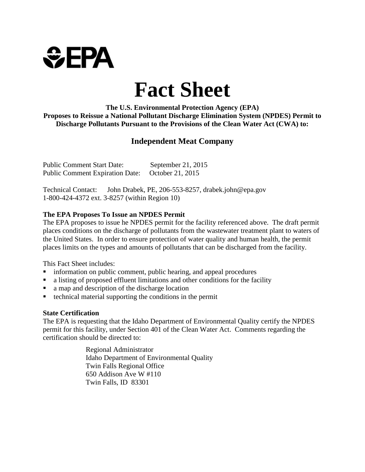

# **Fact Sheet**

 **Proposes to Reissue a National Pollutant Discharge Elimination System (NPDES) Permit to The U.S. Environmental Protection Agency (EPA) Discharge Pollutants Pursuant to the Provisions of the Clean Water Act (CWA) to:**

# **Independent Meat Company**

Public Comment Start Date: September 21, 2015 Public Comment Expiration Date: October 21, 2015

Technical Contact: John Drabek, PE, 206-553-8257, drabek.john@epa.gov 1-800-424-4372 ext. 3-8257 (within Region 10)

#### **The EPA Proposes To Issue an NPDES Permit**

 The EPA proposes to issue he NPDES permit for the facility referenced above. The draft permit places conditions on the discharge of pollutants from the wastewater treatment plant to waters of the United States. In order to ensure protection of water quality and human health, the permit places limits on the types and amounts of pollutants that can be discharged from the facility.

This Fact Sheet includes:

- information on public comment, public hearing, and appeal procedures
- a listing of proposed effluent limitations and other conditions for the facility
- a map and description of the discharge location
- technical material supporting the conditions in the permit

#### **State Certification**

The EPA is requesting that the Idaho Department of Environmental Quality certify the NPDES permit for this facility, under Section 401 of the Clean Water Act. Comments regarding the certification should be directed to:

> Regional Administrator Idaho Department of Environmental Quality Twin Falls Regional Office 650 Addison Ave W #110 Twin Falls, ID 83301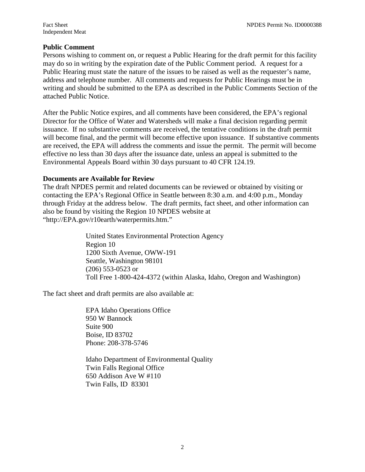#### **Public Comment**

Persons wishing to comment on, or request a Public Hearing for the draft permit for this facility may do so in writing by the expiration date of the Public Comment period. A request for a Public Hearing must state the nature of the issues to be raised as well as the requester's name, address and telephone number. All comments and requests for Public Hearings must be in writing and should be submitted to the EPA as described in the Public Comments Section of the attached Public Notice.

 will become final, and the permit will become effective upon issuance. If substantive comments effective no less than 30 days after the issuance date, unless an appeal is submitted to the After the Public Notice expires, and all comments have been considered, the EPA's regional Director for the Office of Water and Watersheds will make a final decision regarding permit issuance. If no substantive comments are received, the tentative conditions in the draft permit are received, the EPA will address the comments and issue the permit. The permit will become Environmental Appeals Board within 30 days pursuant to 40 CFR 124.19.

#### **Documents are Available for Review**

The draft NPDES permit and related documents can be reviewed or obtained by visiting or contacting the EPA's Regional Office in Seattle between 8:30 a.m. and 4:00 p.m., Monday through Friday at the address below. The draft permits, fact sheet, and other information can also be found by visiting the Region 10 NPDES website at "http://EPA.gov/r10earth/waterpermits.htm."

> (206) 553-0523 or United States Environmental Protection Agency Region 10 1200 Sixth Avenue, OWW-191 Seattle, Washington 98101 Toll Free 1-800-424-4372 (within Alaska, Idaho, Oregon and Washington)

The fact sheet and draft permits are also available at:

 EPA Idaho Operations Office 950 W Bannock Suite 900 Boise, ID 83702 Phone: 208-378-5746

Idaho Department of Environmental Quality Twin Falls Regional Office 650 Addison Ave W #110 Twin Falls, ID 83301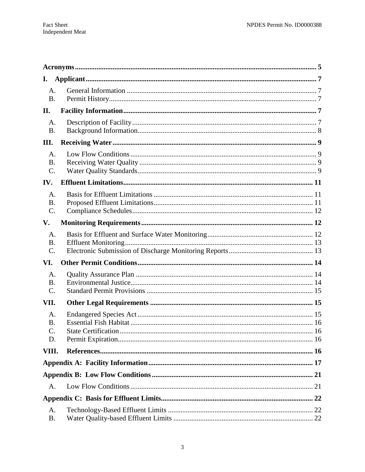| I.                          |  |  |  |
|-----------------------------|--|--|--|
| A.<br><b>B.</b>             |  |  |  |
| II.                         |  |  |  |
| A.<br><b>B.</b>             |  |  |  |
| III.                        |  |  |  |
| А.<br><b>B.</b><br>$C$ .    |  |  |  |
| IV.                         |  |  |  |
| A.<br><b>B.</b><br>C.       |  |  |  |
| V.                          |  |  |  |
| А.<br><b>B.</b><br>$C$ .    |  |  |  |
| VI.                         |  |  |  |
| А.<br><b>B.</b><br>C.       |  |  |  |
| VII.                        |  |  |  |
| А.<br><b>B.</b><br>C.<br>D. |  |  |  |
| VIII.                       |  |  |  |
|                             |  |  |  |
|                             |  |  |  |
| A.                          |  |  |  |
|                             |  |  |  |
| A.<br><b>B.</b>             |  |  |  |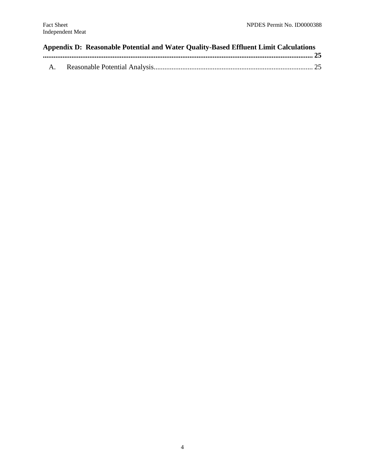## **Appendix D: Reasonable Potential and Water Quality-Based Effluent Limit Calculations [....................................................................................................................................................... 25](#page-24-0)**

|--|--|--|--|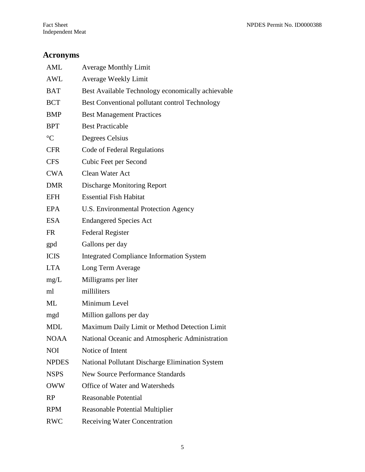# <span id="page-4-0"></span>**Acronyms**

| AML             | <b>Average Monthly Limit</b>                           |  |  |
|-----------------|--------------------------------------------------------|--|--|
| <b>AWL</b>      | <b>Average Weekly Limit</b>                            |  |  |
| <b>BAT</b>      | Best Available Technology economically achievable      |  |  |
| <b>BCT</b>      | Best Conventional pollutant control Technology         |  |  |
| <b>BMP</b>      | <b>Best Management Practices</b>                       |  |  |
| <b>BPT</b>      | <b>Best Practicable</b>                                |  |  |
| $\rm ^{\circ}C$ | Degrees Celsius                                        |  |  |
| <b>CFR</b>      | Code of Federal Regulations                            |  |  |
| <b>CFS</b>      | Cubic Feet per Second                                  |  |  |
| <b>CWA</b>      | Clean Water Act                                        |  |  |
| <b>DMR</b>      | <b>Discharge Monitoring Report</b>                     |  |  |
| <b>EFH</b>      | <b>Essential Fish Habitat</b>                          |  |  |
| <b>EPA</b>      | U.S. Environmental Protection Agency                   |  |  |
| <b>ESA</b>      | <b>Endangered Species Act</b>                          |  |  |
| <b>FR</b>       | <b>Federal Register</b>                                |  |  |
| gpd             | Gallons per day                                        |  |  |
| <b>ICIS</b>     | <b>Integrated Compliance Information System</b>        |  |  |
| <b>LTA</b>      | Long Term Average                                      |  |  |
| mg/L            | Milligrams per liter                                   |  |  |
| ml              | milliliters                                            |  |  |
| ML              | Minimum Level                                          |  |  |
| mgd             | Million gallons per day                                |  |  |
| <b>MDL</b>      | Maximum Daily Limit or Method Detection Limit          |  |  |
| <b>NOAA</b>     | National Oceanic and Atmospheric Administration        |  |  |
| <b>NOI</b>      | Notice of Intent                                       |  |  |
| <b>NPDES</b>    | <b>National Pollutant Discharge Elimination System</b> |  |  |
| <b>NSPS</b>     | <b>New Source Performance Standards</b>                |  |  |
| <b>OWW</b>      | Office of Water and Watersheds                         |  |  |
| RP              | <b>Reasonable Potential</b>                            |  |  |
| <b>RPM</b>      | <b>Reasonable Potential Multiplier</b>                 |  |  |
| <b>RWC</b>      | <b>Receiving Water Concentration</b>                   |  |  |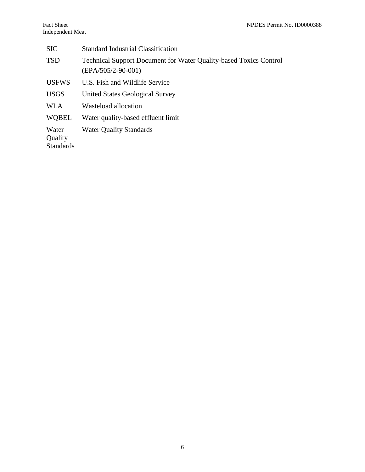| <b>SIC</b>                           | <b>Standard Industrial Classification</b>                                                        |  |  |
|--------------------------------------|--------------------------------------------------------------------------------------------------|--|--|
| <b>TSD</b>                           | <b>Technical Support Document for Water Quality-based Toxics Control</b><br>$(EPA/505/2-90-001)$ |  |  |
| <b>USFWS</b>                         | U.S. Fish and Wildlife Service                                                                   |  |  |
| <b>USGS</b>                          | <b>United States Geological Survey</b>                                                           |  |  |
| <b>WLA</b>                           | Wasteload allocation                                                                             |  |  |
| <b>WOBEL</b>                         | Water quality-based effluent limit                                                               |  |  |
| Water<br>Quality<br><b>Standards</b> | <b>Water Quality Standards</b>                                                                   |  |  |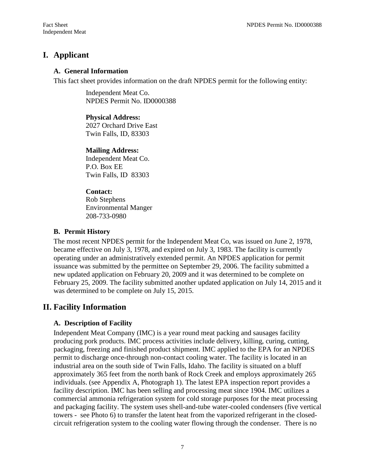# <span id="page-6-0"></span>**I. Applicant**

#### **A. General Information**

This fact sheet provides information on the draft NPDES permit for the following entity:

 NPDES Permit No. ID0000388 Independent Meat Co.

#### **Physical Address:**

 Twin Falls, ID, 83303 2027 Orchard Drive East

#### **Mailing Address:**

 P.O. Box EE Twin Falls, ID 83303 Independent Meat Co.

#### **Contact:**

 Environmental Manger Rob Stephens 208-733-0980

#### **B. Permit History**

 new updated application on February 20, 2009 and it was determined to be complete on The most recent NPDES permit for the Independent Meat Co, was issued on June 2, 1978, became effective on July 3, 1978, and expired on July 3, 1983. The facility is currently operating under an administratively extended permit. An NPDES application for permit issuance was submitted by the permittee on September 29, 2006. The facility submitted a February 25, 2009. The facility submitted another updated application on July 14, 2015 and it was determined to be complete on July 15, 2015.

# **II. Facility Information**

## **A. Description of Facility**

 producing pork products. IMC process activities include delivery, killing, curing, cutting, permit to discharge once-through non-contact cooling water. The facility is located in an facility description. IMC has been selling and processing meat since 1904. IMC utilizes a commercial ammonia refrigeration system for cold storage purposes for the meat processing towers - see Photo 6) to transfer the latent heat from the vaporized refrigerant in the closed- circuit refrigeration system to the cooling water flowing through the condenser. There is no Independent Meat Company (IMC) is a year round meat packing and sausages facility packaging, freezing and finished product shipment. IMC applied to the EPA for an NPDES industrial area on the south side of Twin Falls, Idaho. The facility is situated on a bluff approximately 365 feet from the north bank of Rock Creek and employs approximately 265 individuals. (see Appendix A, Photograph 1). The latest EPA inspection report provides a and packaging facility. The system uses shell-and-tube water-cooled condensers (five vertical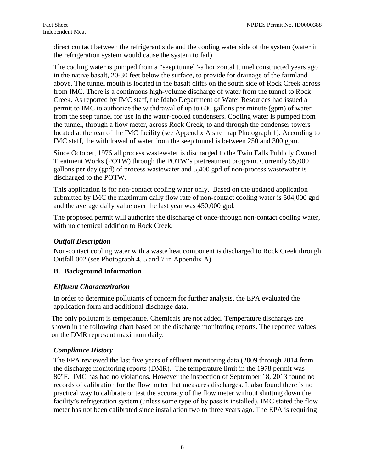<span id="page-7-0"></span>direct contact between the refrigerant side and the cooling water side of the system (water in the refrigeration system would cause the system to fail).

 The cooling water is pumped from a "seep tunnel"-a horizontal tunnel constructed years ago above. The tunnel mouth is located in the basalt cliffs on the south side of Rock Creek across from IMC. There is a continuous high-volume discharge of water from the tunnel to Rock permit to IMC to authorize the withdrawal of up to 600 gallons per minute (gpm) of water from the seep tunnel for use in the water-cooled condensers. Cooling water is pumped from IMC staff, the withdrawal of water from the seep tunnel is between 250 and 300 gpm. in the native basalt, 20-30 feet below the surface, to provide for drainage of the farmland Creek. As reported by IMC staff, the Idaho Department of Water Resources had issued a the tunnel, through a flow meter, across Rock Creek, to and through the condenser towers located at the rear of the IMC facility (see Appendix A site map Photograph 1). According to

 gallons per day (gpd) of process wastewater and 5,400 gpd of non-process wastewater is discharged to the POTW. Since October, 1976 all process wastewater is discharged to the Twin Falls Publicly Owned Treatment Works (POTW) through the POTW's pretreatment program. Currently 95,000

discharged to the POTW.<br>This application is for non-contact cooling water only. Based on the updated application submitted by IMC the maximum daily flow rate of non-contact cooling water is 504,000 gpd and the average daily value over the last year was 450,000 gpd.

The proposed permit will authorize the discharge of once-through non-contact cooling water, with no chemical addition to Rock Creek.

## *Outfall Description*

 Outfall 002 (see Photograph 4, 5 and 7 in Appendix A). Non-contact cooling water with a waste heat component is discharged to Rock Creek through

## **B. Background Information**

## *Effluent Characterization*

In order to determine pollutants of concern for further analysis, the EPA evaluated the application form and additional discharge data.

 on the DMR represent maximum daily. The only pollutant is temperature. Chemicals are not added. Temperature discharges are shown in the following chart based on the discharge monitoring reports. The reported values

## *Compliance History*

 the discharge monitoring reports (DMR). The temperature limit in the 1978 permit was practical way to calibrate or test the accuracy of the flow meter without shutting down the meter has not been calibrated since installation two to three years ago. The EPA is requiring The EPA reviewed the last five years of effluent monitoring data (2009 through 2014 from 80°F. IMC has had no violations. However the inspection of September 18, 2013 found no records of calibration for the flow meter that measures discharges. It also found there is no facility's refrigeration system (unless some type of by pass is installed). IMC stated the flow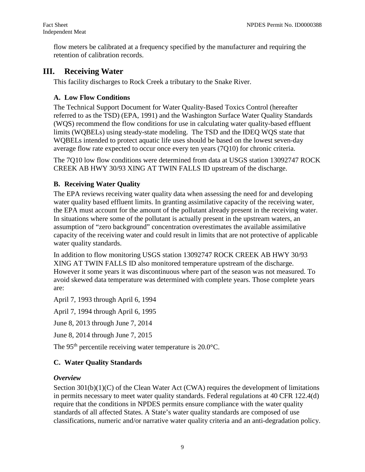<span id="page-8-0"></span> retention of calibration records. flow meters be calibrated at a frequency specified by the manufacturer and requiring the

# **III. Receiving Water**

This facility discharges to Rock Creek a tributary to the Snake River.

# **A. Low Flow Conditions**

The Technical Support Document for Water Quality-Based Toxics Control (hereafter referred to as the TSD) (EPA, 1991) and the Washington Surface Water Quality Standards (WQS) recommend the flow conditions for use in calculating water quality-based effluent limits (WQBELs) using steady-state modeling. The TSD and the IDEQ WQS state that WQBELs intended to protect aquatic life uses should be based on the lowest seven-day average flow rate expected to occur once every ten years (7Q10) for chronic criteria.

The 7Q10 low flow conditions were determined from data at USGS station 13092747 ROCK CREEK AB HWY 30/93 XING AT TWIN FALLS ID upstream of the discharge.

# **B. Receiving Water Quality**

 capacity of the receiving water and could result in limits that are not protective of applicable The EPA reviews receiving water quality data when assessing the need for and developing water quality based effluent limits. In granting assimilative capacity of the receiving water, the EPA must account for the amount of the pollutant already present in the receiving water. In situations where some of the pollutant is actually present in the upstream waters, an assumption of "zero background" concentration overestimates the available assimilative water quality standards.

In addition to flow monitoring USGS station 13092747 ROCK CREEK AB HWY 30/93 XING AT TWIN FALLS ID also monitored temperature upstream of the discharge. However it some years it was discontinuous where part of the season was not measured. To avoid skewed data temperature was determined with complete years. Those complete years are:

April 7, 1993 through April 6, 1994

April 7, 1994 through April 6, 1995

June 8, 2013 through June 7, 2014

June 8, 2014 through June 7, 2015

The 95<sup>th</sup> percentile receiving water temperature is  $20.0^{\circ}$ C.

# **C. Water Quality Standards**

# *Overview*

Section 301(b)(1)(C) of the Clean Water Act (CWA) requires the development of limitations in permits necessary to meet water quality standards. Federal regulations at 40 CFR 122.4(d) require that the conditions in NPDES permits ensure compliance with the water quality standards of all affected States. A State's water quality standards are composed of use classifications, numeric and/or narrative water quality criteria and an anti-degradation policy.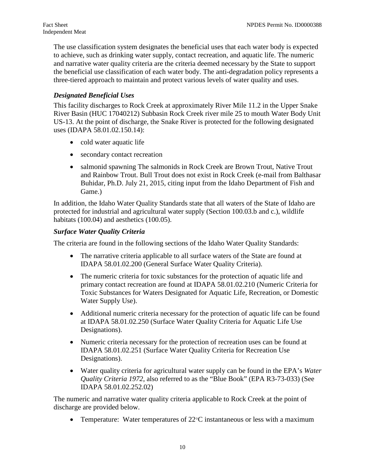three-tiered approach to maintain and protect various levels of water quality and uses. The use classification system designates the beneficial uses that each water body is expected to achieve, such as drinking water supply, contact recreation, and aquatic life. The numeric and narrative water quality criteria are the criteria deemed necessary by the State to support the beneficial use classification of each water body. The anti-degradation policy represents a

## *Designated Beneficial Uses*

This facility discharges to Rock Creek at approximately River Mile 11.2 in the Upper Snake River Basin (HUC 17040212) Subbasin Rock Creek river mile 25 to mouth Water Body Unit US-13. At the point of discharge, the Snake River is protected for the following designated uses (IDAPA 58.01.02.150.14):

- cold water aquatic life
- secondary contact recreation
- and Rainbow Trout. Bull Trout does not exist in Rock Creek (e-mail from Balthasar • salmonid spawning The salmonids in Rock Creek are Brown Trout, Native Trout Buhidar, Ph.D. July 21, 2015, citing input from the Idaho Department of Fish and Game.)

In addition, the Idaho Water Quality Standards state that all waters of the State of Idaho are protected for industrial and agricultural water supply (Section 100.03.b and c.), wildlife habitats (100.04) and aesthetics (100.05).

## *Surface Water Quality Criteria*

The criteria are found in the following sections of the Idaho Water Quality Standards:

- The narrative criteria applicable to all surface waters of the State are found at IDAPA 58.01.02.200 (General Surface Water Quality Criteria).
- The numeric criteria for toxic substances for the protection of aquatic life and primary contact recreation are found at IDAPA 58.01.02.210 (Numeric Criteria for Toxic Substances for Waters Designated for Aquatic Life, Recreation, or Domestic Water Supply Use).
- at IDAPA 58.01.02.250 (Surface Water Quality Criteria for Aquatic Life Use • Additional numeric criteria necessary for the protection of aquatic life can be found Designations).
- Numeric criteria necessary for the protection of recreation uses can be found at IDAPA 58.01.02.251 (Surface Water Quality Criteria for Recreation Use Designations).
- • Water quality criteria for agricultural water supply can be found in the EPA's *Water Quality Criteria 1972*, also referred to as the "Blue Book" (EPA R3-73-033) (See IDAPA 58.01.02.252.02)

 The numeric and narrative water quality criteria applicable to Rock Creek at the point of discharge are provided below.

• Temperature: Water temperatures of  $22^{\circ}$ C instantaneous or less with a maximum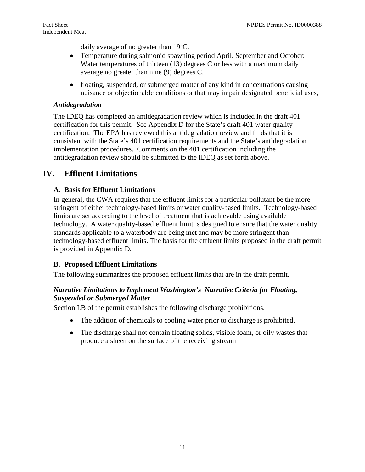daily average of no greater than 19°C.

- <span id="page-10-0"></span>• Temperature during salmonid spawning period April, September and October: Water temperatures of thirteen (13) degrees C or less with a maximum daily average no greater than nine (9) degrees C.
- floating, suspended, or submerged matter of any kind in concentrations causing nuisance or objectionable conditions or that may impair designated beneficial uses,

### *Antidegradation*

 certification. The EPA has reviewed this antidegradation review and finds that it is antidegradation review should be submitted to the IDEQ as set forth above. The IDEQ has completed an antidegradation review which is included in the draft 401 certification for this permit. See Appendix D for the State's draft 401 water quality consistent with the State's 401 certification requirements and the State's antidegradation implementation procedures. Comments on the 401 certification including the

# **IV. Effluent Limitations**

#### **A. Basis for Effluent Limitations**

 technology-based effluent limits. The basis for the effluent limits proposed in the draft permit In general, the CWA requires that the effluent limits for a particular pollutant be the more stringent of either technology-based limits or water quality-based limits. Technology-based limits are set according to the level of treatment that is achievable using available technology. A water quality-based effluent limit is designed to ensure that the water quality standards applicable to a waterbody are being met and may be more stringent than is provided in Appendix D.

#### **B. Proposed Effluent Limitations**

The following summarizes the proposed effluent limits that are in the draft permit.

#### *Narrative Limitations to Implement Washington's Narrative Criteria for Floating, Suspended or Submerged Matter*

Section I.B of the permit establishes the following discharge prohibitions.

- The addition of chemicals to cooling water prior to discharge is prohibited.
- produce a sheen on the surface of the receiving stream • The discharge shall not contain floating solids, visible foam, or oily wastes that produce a sheen on the surface of the receiving stream  $11$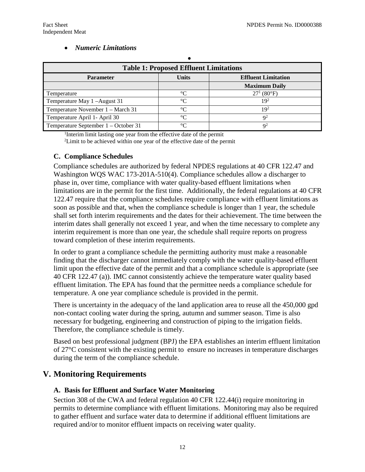#### • *Numeric Limitations*

| <b>Table 1: Proposed Effluent Limitations</b> |              |                            |  |
|-----------------------------------------------|--------------|----------------------------|--|
| <b>Parameter</b>                              | <b>Units</b> | <b>Effluent Limitation</b> |  |
|                                               |              | <b>Maximum Daily</b>       |  |
| Temperature                                   | $^{\circ}C$  | $27^1 (80^{\circ}F)$       |  |
| Temperature May 1-August 31                   | $^{\circ}C$  | $19^2$                     |  |
| Temperature November 1 – March 31             | $^{\circ}C$  | 19 <sup>2</sup>            |  |
| Temperature April 1- April 30                 | $\circ$      | $Q^2$                      |  |
| Temperature September 1 – October 31          | $\circ$      | $Q^2$                      |  |

1 Interim limit lasting one year from the effective date of the permit  $2$ Limit to be achieved within one year of the effective date of the permit

#### **C. Compliance Schedules**

 interim dates shall generally not exceed 1 year, and when the time necessary to complete any toward completion of these interim requirements. Compliance schedules are authorized by federal NPDES regulations at 40 CFR 122.47 and Washington WQS WAC 173-201A-510(4). Compliance schedules allow a discharger to phase in, over time, compliance with water quality-based effluent limitations when limitations are in the permit for the first time. Additionally, the federal regulations at 40 CFR 122.47 require that the compliance schedules require compliance with effluent limitations as soon as possible and that, when the compliance schedule is longer than 1 year, the schedule shall set forth interim requirements and the dates for their achievement. The time between the interim requirement is more than one year, the schedule shall require reports on progress

 effluent limitation. The EPA has found that the permittee needs a compliance schedule for temperature. A one year compliance schedule is provided in the permit. In order to grant a compliance schedule the permitting authority must make a reasonable finding that the discharger cannot immediately comply with the water quality-based effluent limit upon the effective date of the permit and that a compliance schedule is appropriate (see 40 CFR 122.47 (a)). IMC cannot consistently achieve the temperature water quality based

 non-contact cooling water during the spring, autumn and summer season. Time is also There is uncertainty in the adequacy of the land application area to reuse all the 450,000 gpd necessary for budgeting, engineering and construction of piping to the irrigation fields. Therefore, the compliance schedule is timely.

 of 27°C consistent with the existing permit to ensure no increases in temperature discharges Based on best professional judgment (BPJ) the EPA establishes an interim effluent limitation during the term of the compliance schedule.

# **V. Monitoring Requirements**

#### **A. Basis for Effluent and Surface Water Monitoring**

required and/or to monitor effluent impacts on receiving water quality.<br>12 Section 308 of the CWA and federal regulation 40 CFR 122.44(i) require monitoring in permits to determine compliance with effluent limitations. Monitoring may also be required to gather effluent and surface water data to determine if additional effluent limitations are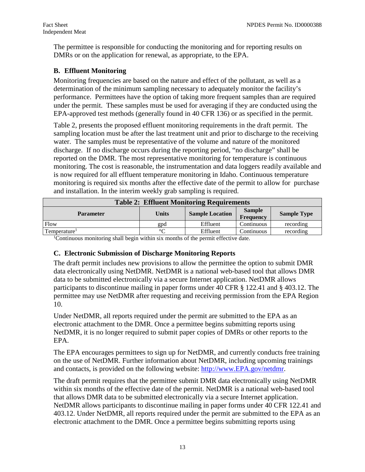DMRs or on the application for renewal, as appropriate, to the EPA. The permittee is responsible for conducting the monitoring and for reporting results on

#### **B. Effluent Monitoring**

 performance. Permittees have the option of taking more frequent samples than are required under the permit. These samples must be used for averaging if they are conducted using the Monitoring frequencies are based on the nature and effect of the pollutant, as well as a determination of the minimum sampling necessary to adequately monitor the facility's EPA-approved test methods (generally found in 40 CFR 136) or as specified in the permit.

 water. The samples must be representative of the volume and nature of the monitored discharge. If no discharge occurs during the reporting period, "no discharge" shall be Table 2, presents the proposed effluent monitoring requirements in the draft permit. The sampling location must be after the last treatment unit and prior to discharge to the receiving reported on the DMR. The most representative monitoring for temperature is continuous monitoring. The cost is reasonable, the instrumentation and data loggers readily available and is now required for all effluent temperature monitoring in Idaho. Continuous temperature monitoring is required six months after the effective date of the permit to allow for purchase and installation. In the interim weekly grab sampling is required.

| <b>Table 2: Effluent Monitoring Requirements</b>                                               |        |                        |                            |                    |
|------------------------------------------------------------------------------------------------|--------|------------------------|----------------------------|--------------------|
| <b>Parameter</b>                                                                               | Units  | <b>Sample Location</b> | <b>Sample</b><br>Frequency | <b>Sample Type</b> |
| Flow                                                                                           | gpd    | Effluent               | Continuous                 | recording          |
| Temperature <sup>1</sup>                                                                       | $\sim$ | Effluent               | Continuous                 | recording          |
| <sup>1</sup> Continuous monitoring shall begin within six months of the permit effective date. |        |                        |                            |                    |

#### **C. Electronic Submission of Discharge Monitoring Reports**

 permittee may use NetDMR after requesting and receiving permission from the EPA Region The draft permit includes new provisions to allow the permittee the option to submit DMR data electronically using NetDMR. NetDMR is a national web-based tool that allows DMR data to be submitted electronically via a secure Internet application. NetDMR allows participants to discontinue mailing in paper forms under 40 CFR § 122.41 and § 403.12. The 10.

Under NetDMR, all reports required under the permit are submitted to the EPA as an electronic attachment to the DMR. Once a permittee begins submitting reports using NetDMR, it is no longer required to submit paper copies of DMRs or other reports to the EPA.

The EPA encourages permittees to sign up for NetDMR, and currently conducts free training on the use of NetDMR. Further information about NetDMR, including upcoming trainings and contacts, is provided on the following website: [http://www.EPA.gov/netdmr.](http://www.epa.gov/netdmr)

The draft permit requires that the permittee submit DMR data electronically using NetDMR within six months of the effective date of the permit. NetDMR is a national web-based tool that allows DMR data to be submitted electronically via a secure Internet application. NetDMR allows participants to discontinue mailing in paper forms under 40 CFR 122.41 and 403.12. Under NetDMR, all reports required under the permit are submitted to the EPA as an electronic attachment to the DMR. Once a permittee begins submitting reports using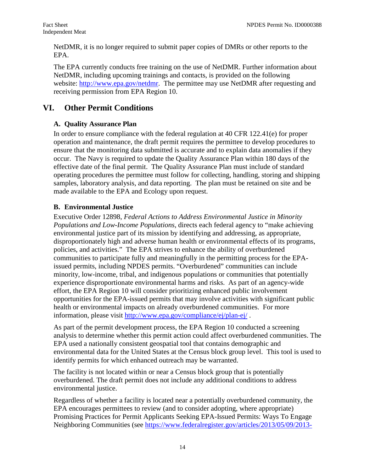<span id="page-13-0"></span>NetDMR, it is no longer required to submit paper copies of DMRs or other reports to the EPA.

 The EPA currently conducts free training on the use of NetDMR. Further information about website: [http://www.epa.gov/netdmr.](http://www.epa.gov/netdmr) The permittee may use NetDMR after requesting and receiving permission from EPA Region 10. NetDMR, including upcoming trainings and contacts, is provided on the following

# **VI. Other Permit Conditions**

# **A. Quality Assurance Plan**

 samples, laboratory analysis, and data reporting. The plan must be retained on site and be In order to ensure compliance with the federal regulation at 40 CFR 122.41(e) for proper operation and maintenance, the draft permit requires the permittee to develop procedures to ensure that the monitoring data submitted is accurate and to explain data anomalies if they occur. The Navy is required to update the Quality Assurance Plan within 180 days of the effective date of the final permit. The Quality Assurance Plan must include of standard operating procedures the permittee must follow for collecting, handling, storing and shipping made available to the EPA and Ecology upon request.

# **B. Environmental Justice**

 policies, and activities." The EPA strives to enhance the ability of overburdened information, please visit http://www.epa.gov/compliance/ej/plan-ej/. Executive Order 12898, *Federal Actions to Address Environmental Justice in Minority Populations and Low-Income Populations*, directs each federal agency to "make achieving environmental justice part of its mission by identifying and addressing, as appropriate, disproportionately high and adverse human health or environmental effects of its programs, communities to participate fully and meaningfully in the permitting process for the EPAissued permits, including NPDES permits. "Overburdened" communities can include minority, low-income, tribal, and indigenous populations or communities that potentially experience disproportionate environmental harms and risks. As part of an agency-wide effort, the EPA Region 10 will consider prioritizing enhanced public involvement opportunities for the EPA-issued permits that may involve activities with significant public health or environmental impacts on already overburdened communities. For more

As part of the permit development process, the EPA Region 10 conducted a screening analysis to determine whether this permit action could affect overburdened communities. The EPA used a nationally consistent geospatial tool that contains demographic and environmental data for the United States at the Census block group level. This tool is used to identify permits for which enhanced outreach may be warranted.

The facility is not located within or near a Census block group that is potentially overburdened. The draft permit does not include any additional conditions to address environmental justice.

Regardless of whether a facility is located near a potentially overburdened community, the EPA encourages permittees to review (and to consider adopting, where appropriate) Promising Practices for Permit Applicants Seeking EPA-Issued Permits: Ways To Engage Neighboring Communities (see [https://www.federalregister.gov/articles/2013/05/09/2013](https://www.federalregister.gov/articles/2013/05/09/2013-10945/epa-activities-to-promote-environmental-justice-in-the-permit-application-process%23p-104)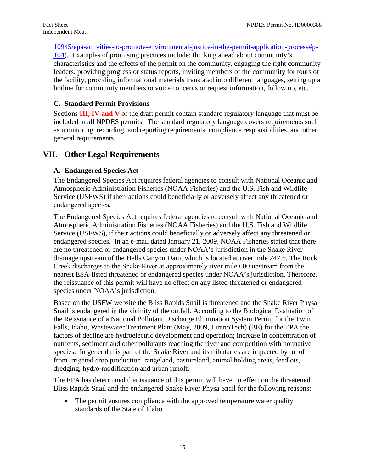<span id="page-14-0"></span>[10945/epa-activities-to-promote-environmental-justice-in-the-permit-application-process#p-](https://www.federalregister.gov/articles/2013/05/09/2013-10945/epa-activities-to-promote-environmental-justice-in-the-permit-application-process%23p-104)

 the facility, providing informational materials translated into different languages, setting up a [104\)](https://www.federalregister.gov/articles/2013/05/09/2013-10945/epa-activities-to-promote-environmental-justice-in-the-permit-application-process%23p-104). Examples of promising practices include: thinking ahead about community's characteristics and the effects of the permit on the community, engaging the right community leaders, providing progress or status reports, inviting members of the community for tours of hotline for community members to voice concerns or request information, follow up, etc.

# **C. Standard Permit Provisions**

 included in all NPDES permits. The standard regulatory language covers requirements such Sections **III, IV and V** of the draft permit contain standard regulatory language that must be as monitoring, recording, and reporting requirements, compliance responsibilities, and other general requirements.

# **VII. Other Legal Requirements**

# **A. Endangered Species Act**

 Service (USFWS) if their actions could beneficially or adversely affect any threatened or endangered species. The Endangered Species Act requires federal agencies to consult with National Oceanic and Atmospheric Administration Fisheries (NOAA Fisheries) and the U.S. Fish and Wildlife

 endangered species. In an e-mail dated January 21, 2009, NOAA Fisheries stated that there Creek discharges to the Snake River at approximately river mile 600 upstream from the The Endangered Species. Act requires federal agencies to consult with National Oceanic and Atmospheric Administration Fisheries (NOAA Fisheries) and the U.S. Fish and Wildlife Service (USFWS), if their actions could beneficially or adversely affect any threatened or are no threatened or endangered species under NOAA's jurisdiction in the Snake River drainage upstream of the Hells Canyon Dam, which is located at river mile 247.5. The Rock nearest ESA-listed threatened or endangered species under NOAA's jurisdiction. Therefore, the reissuance of this permit will have no effect on any listed threatened or endangered species under NOAA's jurisdiction.

Based on the USFW website the Bliss Rapids Snail is threatened and the Snake River Physa Snail is endangered in the vicinity of the outfall. According to the Biological Evaluation of the Reissuance of a National Pollutant Discharge Elimination System Permit for the Twin Falls, Idaho, Wastewater Treatment Plant (May, 2009, LimnoTech) (BE) for the EPA the factors of decline are hydroelectric development and operation; increase in concentration of nutrients, sediment and other pollutants reaching the river and competition with nonnative species. In general this part of the Snake River and its tributaries are impacted by runoff from irrigated crop production, rangeland, pastureland, animal holding areas, feedlots, dredging, hydro-modification and urban runoff.

The EPA has determined that issuance of this permit will have no effect on the threatened Bliss Rapids Snail and the endangered Snake River Physa Snail for the following reasons:

 standards of the State of Idaho. • The permit ensures compliance with the approved temperature water quality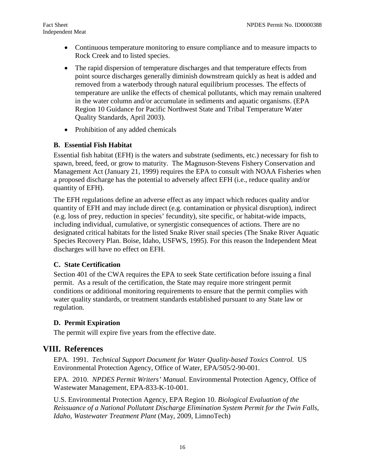- <span id="page-15-0"></span> • Continuous temperature monitoring to ensure compliance and to measure impacts to Rock Creek and to listed species.
- The rapid dispersion of temperature discharges and that temperature effects from point source discharges generally diminish downstream quickly as heat is added and removed from a waterbody through natural equilibrium processes. The effects of temperature are unlike the effects of chemical pollutants, which may remain unaltered in the water column and/or accumulate in sediments and aquatic organisms. (EPA Region 10 Guidance for Pacific Northwest State and Tribal Temperature Water Quality Standards, April 2003).
- Prohibition of any added chemicals

#### **B. Essential Fish Habitat**

 Management Act (January 21, 1999) requires the EPA to consult with NOAA Fisheries when a proposed discharge has the potential to adversely affect EFH (i.e., reduce quality and/or Essential fish habitat (EFH) is the waters and substrate (sediments, etc.) necessary for fish to spawn, breed, feed, or grow to maturity. The Magnuson-Stevens Fishery Conservation and quantity of EFH).

 discharges will have no effect on EFH. The EFH regulations define an adverse effect as any impact which reduces quality and/or quantity of EFH and may include direct (e.g. contamination or physical disruption), indirect (e.g. loss of prey, reduction in species' fecundity), site specific, or habitat-wide impacts, including individual, cumulative, or synergistic consequences of actions. There are no designated critical habitats for the listed Snake River snail species (The Snake River Aquatic Species Recovery Plan. Boise, Idaho, USFWS, 1995). For this reason the Independent Meat

## **C. State Certification**

 Section 401 of the CWA requires the EPA to seek State certification before issuing a final permit. As a result of the certification, the State may require more stringent permit conditions or additional monitoring requirements to ensure that the permit complies with water quality standards, or treatment standards established pursuant to any State law or regulation.

## **D. Permit Expiration**

The permit will expire five years from the effective date.

# **VIII. References**

 EPA. 1991. *Technical Support Document for Water Quality-based Toxics Control.* US Environmental Protection Agency, Office of Water, EPA/505/2-90-001.

EPA. 2010. *NPDES Permit Writers' Manual.* Environmental Protection Agency, Office of Wastewater Management, EPA-833-K-10-001.

U.S. Environmental Protection Agency, EPA Region 10. *Biological Evaluation of the Reissuance of a National Pollutant Discharge Elimination System Permit for the Twin Falls, Idaho, Wastewater Treatment Plant* (May, 2009, LimnoTech)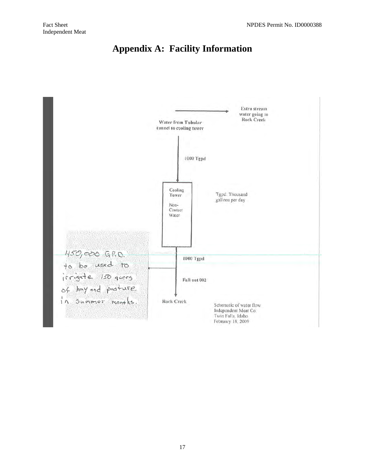

<span id="page-16-0"></span>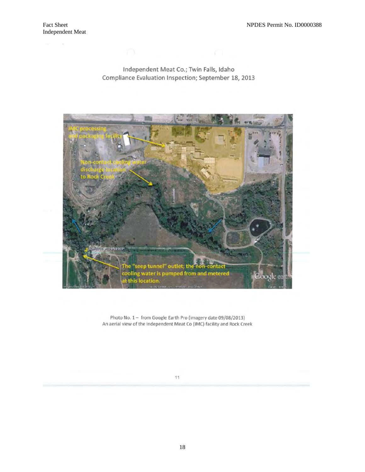$\mathcal{F}(\mathcal{C})$  , and  $\mathcal{F}(\mathcal{C})$ 

#### Independent Meat Co.; Twin Falls, Idaho Compliance Evaluation Inspection; September 18, 2013



Photo No. 1 - from Google Earth Pro (imagery date 09/08/2013) An aerial view of the Independent Meat Co (IMC) facility and Rock Creek

#### $11$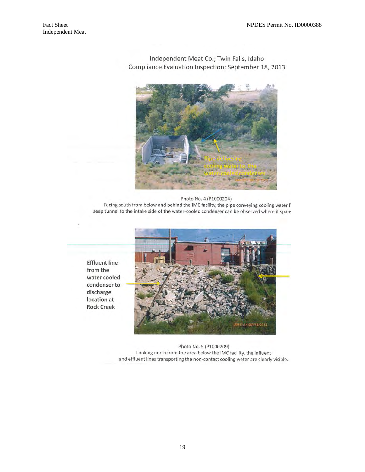

Independent Meat Co.; Twin Falls, Idaho Compliance Evaluation Inspection; September 18, 2013

Photo No. 4 (P1000204) Facing south from below and behind the IMC facility, the pipe conveying cooling water f seep tunnel to the intake side of the water-cooled condenser can be observed where it span:

**Effluent line** from the water cooled condenser to discharge location at **Rock Creek** 



Photo No. 5 (P1000209) Looking north from the area below the IMC facility, the influent and effluent lines transporting the non-contact cooling water are clearly visible.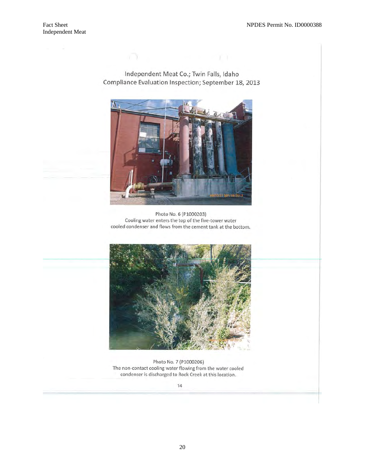Independent Meat Co.; Twin Falls, Idaho Compliance Evaluation Inspection; September 18, 2013

 $\mathbf{r}$  and  $\mathbf{r}$  and  $\mathbf{r}$  and  $\mathbf{r}$  and  $\mathbf{r}$  and  $\mathbf{r}$  and  $\mathbf{r}$ 



Photo No. 6 (P1000203) Cooling water enters the top of the five-tower water cooled condenser and flows from the cement tank at the bottom.



Photo No. 7 (P1000206) The non-contact cooling water flowing from the water cooled condenser is discharged to Rock Creek at this location.

 $14$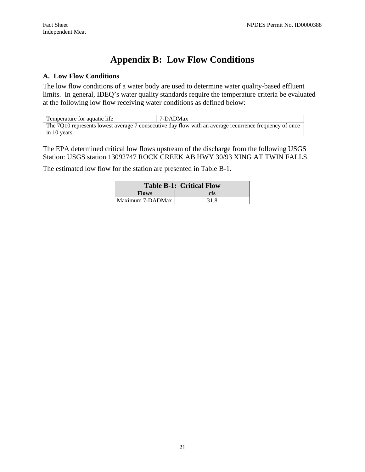# **Appendix B: Low Flow Conditions**

#### **A. Low Flow Conditions**

 limits. In general, IDEQ's water quality standards require the temperature criteria be evaluated The low flow conditions of a water body are used to determine water quality-based effluent at the following low flow receiving water conditions as defined below:

| Temperature for aquatic life                                                                           | 7-DADMax |  |  |  |  |
|--------------------------------------------------------------------------------------------------------|----------|--|--|--|--|
| The 7Q10 represents lowest average 7 consecutive day flow with an average recurrence frequency of once |          |  |  |  |  |
| in 10 years.                                                                                           |          |  |  |  |  |

The EPA determined critical low flows upstream of the discharge from the following USGS Station: USGS station 13092747 ROCK CREEK AB HWY 30/93 XING AT TWIN FALLS.

The estimated low flow for the station are presented in Table B-1.

| <b>Table B-1: Critical Flow</b> |      |  |
|---------------------------------|------|--|
| <b>Flows</b>                    | cfs  |  |
| Maximum 7-DADMax                | 31.8 |  |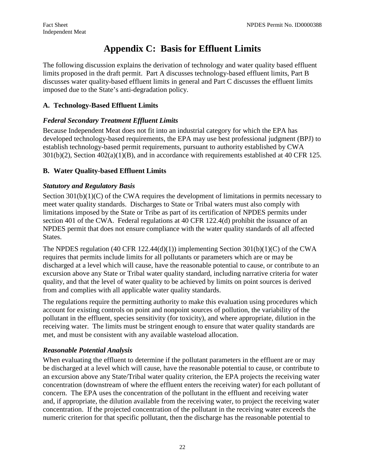# **Appendix C: Basis for Effluent Limits**

 The following discussion explains the derivation of technology and water quality based effluent limits proposed in the draft permit. Part A discusses technology-based effluent limits, Part B discusses water quality-based effluent limits in general and Part C discusses the effluent limits imposed due to the State's anti-degradation policy.

# **A. Technology-Based Effluent Limits**

# *Federal Secondary Treatment Effluent Limits*

 $301(b)(2)$ , Section  $402(a)(1)(B)$ , and in accordance with requirements established at 40 CFR 125. Because Independent Meat does not fit into an industrial category for which the EPA has developed technology-based requirements, the EPA may use best professional judgment (BPJ) to establish technology-based permit requirements, pursuant to authority established by CWA

# **B. Water Quality-based Effluent Limits**

# *Statutory and Regulatory Basis*

States. Section  $301(b)(1)(C)$  of the CWA requires the development of limitations in permits necessary to meet water quality standards. Discharges to State or Tribal waters must also comply with limitations imposed by the State or Tribe as part of its certification of NPDES permits under section 401 of the CWA. Federal regulations at 40 CFR 122.4(d) prohibit the issuance of an NPDES permit that does not ensure compliance with the water quality standards of all affected

The NPDES regulation (40 CFR 122.44(d)(1)) implementing Section  $301(b)(1)(C)$  of the CWA requires that permits include limits for all pollutants or parameters which are or may be discharged at a level which will cause, have the reasonable potential to cause, or contribute to an excursion above any State or Tribal water quality standard, including narrative criteria for water quality, and that the level of water quality to be achieved by limits on point sources is derived from and complies with all applicable water quality standards.

 met, and must be consistent with any available wasteload allocation. The regulations require the permitting authority to make this evaluation using procedures which account for existing controls on point and nonpoint sources of pollution, the variability of the pollutant in the effluent, species sensitivity (for toxicity), and where appropriate, dilution in the receiving water. The limits must be stringent enough to ensure that water quality standards are

## *Reasonable Potential Analysis*

 be discharged at a level which will cause, have the reasonable potential to cause, or contribute to an excursion above any State/Tribal water quality criterion, the EPA projects the receiving water When evaluating the effluent to determine if the pollutant parameters in the effluent are or may concentration (downstream of where the effluent enters the receiving water) for each pollutant of concern. The EPA uses the concentration of the pollutant in the effluent and receiving water and, if appropriate, the dilution available from the receiving water, to project the receiving water concentration. If the projected concentration of the pollutant in the receiving water exceeds the numeric criterion for that specific pollutant, then the discharge has the reasonable potential to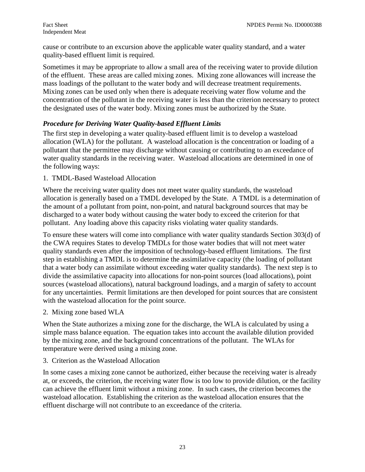cause or contribute to an excursion above the applicable water quality standard, and a water quality-based effluent limit is required.

mass loadings of the pollutant to the water body and will decrease treatment requirements. the designated uses of the water body. Mixing zones must be authorized by the State. Sometimes it may be appropriate to allow a small area of the receiving water to provide dilution of the effluent. These areas are called mixing zones. Mixing zone allowances will increase the Mixing zones can be used only when there is adequate receiving water flow volume and the concentration of the pollutant in the receiving water is less than the criterion necessary to protect

#### *Procedure for Deriving Water Quality-based Effluent Limits*

 allocation (WLA) for the pollutant. A wasteload allocation is the concentration or loading of a water quality standards in the receiving water. Wasteload allocations are determined in one of The first step in developing a water quality-based effluent limit is to develop a wasteload pollutant that the permittee may discharge without causing or contributing to an exceedance of the following ways:

#### 1. TMDL-Based Wasteload Allocation

Where the receiving water quality does not meet water quality standards, the wasteload allocation is generally based on a TMDL developed by the State. A TMDL is a determination of the amount of a pollutant from point, non-point, and natural background sources that may be discharged to a water body without causing the water body to exceed the criterion for that pollutant. Any loading above this capacity risks violating water quality standards.

 that a water body can assimilate without exceeding water quality standards). The next step is to To ensure these waters will come into compliance with water quality standards Section 303(d) of the CWA requires States to develop TMDLs for those water bodies that will not meet water quality standards even after the imposition of technology-based effluent limitations. The first step in establishing a TMDL is to determine the assimilative capacity (the loading of pollutant divide the assimilative capacity into allocations for non-point sources (load allocations), point sources (wasteload allocations), natural background loadings, and a margin of safety to account for any uncertainties. Permit limitations are then developed for point sources that are consistent with the wasteload allocation for the point source.

2. Mixing zone based WLA

When the State authorizes a mixing zone for the discharge, the WLA is calculated by using a simple mass balance equation. The equation takes into account the available dilution provided by the mixing zone, and the background concentrations of the pollutant. The WLAs for temperature were derived using a mixing zone.

3. Criterion as the Wasteload Allocation

effluent discharge will not contribute to an exceedance of the criteria.<br>
<sup>23</sup> In some cases a mixing zone cannot be authorized, either because the receiving water is already at, or exceeds, the criterion, the receiving water flow is too low to provide dilution, or the facility can achieve the effluent limit without a mixing zone. In such cases, the criterion becomes the wasteload allocation. Establishing the criterion as the wasteload allocation ensures that the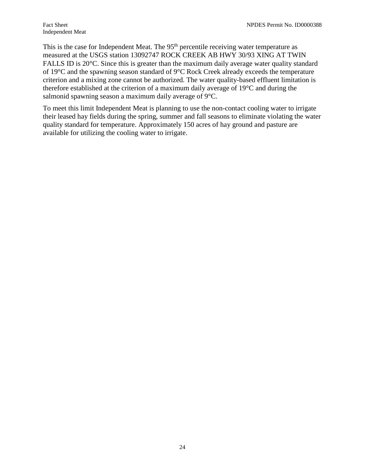of 19°C and the spawning season standard of 9°C Rock Creek already exceeds the temperature This is the case for Independent Meat. The 95<sup>th</sup> percentile receiving water temperature as measured at the USGS station 13092747 ROCK CREEK AB HWY 30/93 XING AT TWIN FALLS ID is 20°C. Since this is greater than the maximum daily average water quality standard criterion and a mixing zone cannot be authorized. The water quality-based effluent limitation is therefore established at the criterion of a maximum daily average of 19°C and during the salmonid spawning season a maximum daily average of 9°C.

 their leased hay fields during the spring, summer and fall seasons to eliminate violating the water quality standard for temperature. Approximately 150 acres of hay ground and pasture are available for utilizing the cooling water to irrigate. To meet this limit Independent Meat is planning to use the non-contact cooling water to irrigate available for utilizing the cooling water to irrigate. 24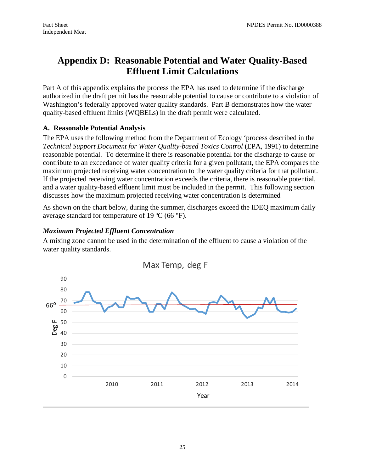# <span id="page-24-0"></span>**Appendix D: Reasonable Potential and Water Quality-Based Effluent Limit Calculations**

 quality-based effluent limits (WQBELs) in the draft permit were calculated. Part A of this appendix explains the process the EPA has used to determine if the discharge authorized in the draft permit has the reasonable potential to cause or contribute to a violation of Washington's federally approved water quality standards. Part B demonstrates how the water

#### **A. Reasonable Potential Analysis**

maximum projected receiving water concentration to the water quality criteria for that pollutant. The EPA uses the following method from the Department of Ecology 'process described in the *Technical Support Document for Water Quality-based Toxics Control* (EPA, 1991) to determine reasonable potential. To determine if there is reasonable potential for the discharge to cause or contribute to an exceedance of water quality criteria for a given pollutant, the EPA compares the If the projected receiving water concentration exceeds the criteria, there is reasonable potential, and a water quality-based effluent limit must be included in the permit. This following section discusses how the maximum projected receiving water concentration is determined

average standard for temperature of 19  $^{\circ}$ C (66  $^{\circ}$ F). As shown on the chart below, during the summer, discharges exceed the IDEQ maximum daily

#### *Maximum Projected Effluent Concentration*

 A mixing zone cannot be used in the determination of the effluent to cause a violation of the water quality standards.

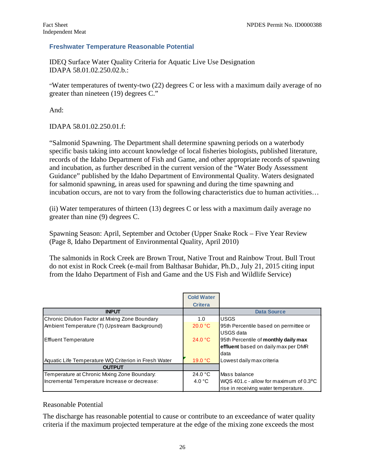#### **Freshwater Temperature Reasonable Potential**

 IDAPA 58.01.02.250.02.b.: IDEQ Surface Water Quality Criteria for Aquatic Live Use Designation

"Water temperatures of twenty-two (22) degrees C or less with a maximum daily average of no greater than nineteen (19) degrees C."

And:

IDAPA 58.01.02.250.01.f:

 records of the Idaho Department of Fish and Game, and other appropriate records of spawning "Salmonid Spawning. The Department shall determine spawning periods on a waterbody specific basis taking into account knowledge of local fisheries biologists, published literature, and incubation, as further described in the current version of the "Water Body Assessment Guidance" published by the Idaho Department of Environmental Quality. Waters designated for salmonid spawning, in areas used for spawning and during the time spawning and incubation occurs, are not to vary from the following characteristics due to human activities…

(ii) Water temperatures of thirteen (13) degrees C or less with a maximum daily average no greater than nine (9) degrees C.

Spawning Season: April, September and October (Upper Snake Rock – Five Year Review (Page 8, Idaho Department of Environmental Quality, April 2010)

 do not exist in Rock Creek (e-mail from Balthasar Buhidar, Ph.D., July 21, 2015 citing input The salmonids in Rock Creek are Brown Trout, Native Trout and Rainbow Trout. Bull Trout from the Idaho Department of Fish and Game and the US Fish and Wildlife Service)

|                                                      | <b>Cold Water</b> |                                                       |
|------------------------------------------------------|-------------------|-------------------------------------------------------|
|                                                      | <b>Critera</b>    |                                                       |
| <b>INPUT</b>                                         |                   | <b>Data Source</b>                                    |
| Chronic Dilution Factor at Mixing Zone Boundary      | 1.0               | <b>USGS</b>                                           |
| Ambient Temperature (T) (Upstream Background)        | 20.0 °C           | 95th Percentile based on permittee or                 |
|                                                      |                   | USGS data                                             |
| Effluent Temperature                                 | 24.0 °C           | 95th Percentile of monthly daily max                  |
|                                                      |                   | effluent based on daily max per DMR                   |
|                                                      |                   | data                                                  |
| Aquatic Life Temperature WQ Criterion in Fresh Water | 19.0 °C           | Lowest daily max criteria                             |
| <b>OUTPUT</b>                                        |                   |                                                       |
| Temperature at Chronic Mixing Zone Boundary:         | 24.0 $^{\circ}$ C | Mass balance                                          |
| Incremental Temperature Increase or decrease:        | 4.0 $\degree$ C   | WQS 401.c - allow for maximum of $0.3$ <sup>o</sup> C |
|                                                      |                   | rise in receiving water temperature.                  |

#### Reasonable Potential

The discharge has reasonable potential to cause or contribute to an exceedance of water quality criteria if the maximum projected temperature at the edge of the mixing zone exceeds the most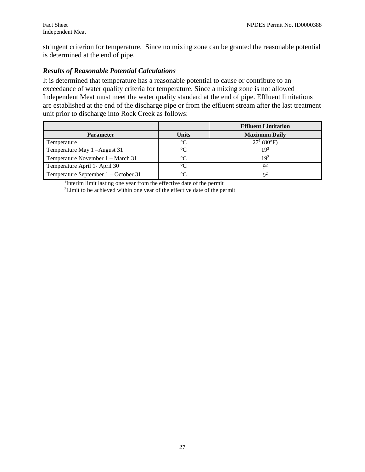stringent criterion for temperature. Since no mixing zone can be granted the reasonable potential is determined at the end of pipe.

#### *Results of Reasonable Potential Calculations*

 are established at the end of the discharge pipe or from the effluent stream after the last treatment unit prior to discharge into Rock Creek as follows: It is determined that temperature has a reasonable potential to cause or contribute to an exceedance of water quality criteria for temperature. Since a mixing zone is not allowed Independent Meat must meet the water quality standard at the end of pipe. Effluent limitations

|                                      |              | <b>Effluent Limitation</b> |
|--------------------------------------|--------------|----------------------------|
| <b>Parameter</b>                     | <b>Units</b> | <b>Maximum Daily</b>       |
| Temperature                          | $\circ$      | $27^1 (80^{\circ}F)$       |
| Temperature May 1-August 31          | ം            | 192                        |
| Temperature November 1 – March 31    |              | 1 Q <sup>2</sup>           |
| Temperature April 1- April 30        | $\sim$       | $\Omega^2$                 |
| Temperature September 1 – October 31 |              |                            |

1 Interim limit lasting one year from the effective date of the permit <sup>2</sup>Limit to be achieved within one year of the effective date of the permit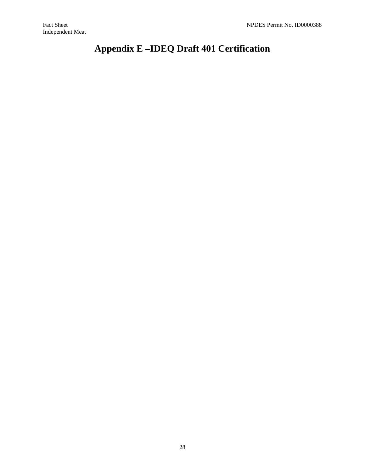# **Appendix E –IDEQ Draft 401 Certification**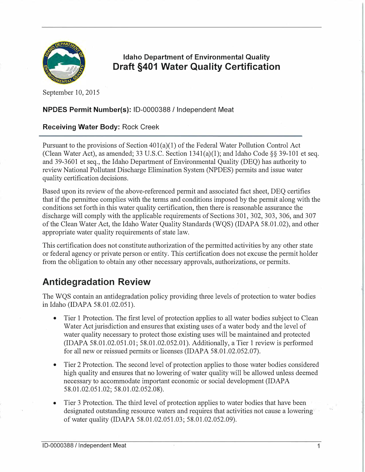

Idaho Department of Environmental Quality Draft §401 Water Quality Certification

September 10, 2015

#### NPDES Permit Number(s): ID-0000388 / Independent Meat

#### Receiving Water Body: Rock Creek

Pursuant to the provisions of Section  $401(a)(1)$  of the Federal Water Pollution Control Act (Clean Water Act), as amended; 33 U.S.C. Section  $1341(a)(1)$ ; and Idaho Code §§ 39-101 et seq. and 39-3601 et seq., the Idaho Department of Environmental Quality (DEQ) has authority to review National Pollutant Discharge Elimination System (NPDES) permits and issue water quality certification decisions.

Based upon its review of the above-referenced permit and associated fact sheet, DEQ certifies that if the permittee complies with the terms and conditions imposed by the permit along with the conditions set forth in this water quality certification, then there is reasonable assurance the discharge will comply with the applicable requirements of Sections 301, 302, 303, 306, and 307 of the Clean Water Act, the Idaho Water Quality Standards (WQS) (IDAPA 58.01.02), and other appropriate water quality requirements of state law.

This certification does not constitute authorization of the permitted activities by any other state or federal agency or private person or entity. This certification does not excuse the permit holder from the obligation to obtain any other necessary approvals, authorizations, or permits.

# Antidegradation Review

The WQS contain an antidegradation policy providing three levels of protection to water bodies in Idaho (IDAPA 58.01.02.051).

- Tier 1 Protection. The first level of protection applies to all water bodies subject to Clean Water Act jurisdiction and ensures that existing uses of a water body and the level of water quality necessary to protect those existing uses will be maintained and protected  $(IDAPA 58.01.02.051.01; 58.01.02.052.01)$ . Additionally, a Tier 1 review is performed for all new or reissued permits or licenses (IDAPA 58.01.02.052.07).
- Tier 2 Protection. The second level of protection applies to those water bodies considered high quality and ensures that no lowering of water quality will be allowed unless deemed necessary to accommodate important economic or social development (IDAPA 58.01.02.051.02; 58.01.02.052.08).
- Tier 3 Protection. The third level of protection applies to water bodies that have been designated outstanding resource waters and requires that activities not cause a lowering·· of water quality (IDAPA 58.01.02.051.03; 58.01.02.052.09).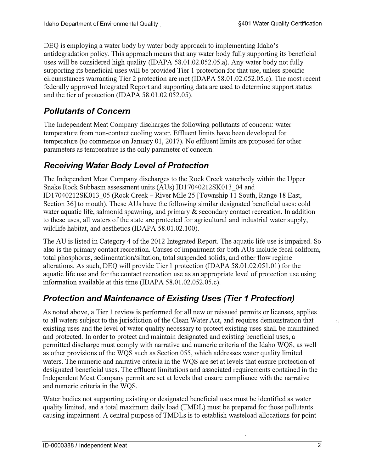DEQ is employing a water body by water body approach to implementing Idaho's antidegradation policy. This approach means that any water body fully supporting its beneficial uses will be considered high quality (IDAPA 58.01.02.052.05.a). Any water body not fully supporting its beneficial uses will be provided Tier 1 protection for that use, unless specific circumstances warranting Tier 2 protection are met (IDAPA 58.01.02.052.05.c). The most recent federally approved Integrated Report and supporting data are used to determine support status and the tier of protection (IDAPA 58.01.02.052.05).

# Pollutants of Concern

The Independent Meat Company discharges the following pollutants of concern: water temperature from non-contact cooling water. Effluent limits have been developed for temperature (to commence on January 01, 2017). No effluent limits are proposed for other parameters as temperature is the only parameter of concern.

# Receiving Water Body Level of Protection

The Independent Meat Company discharges to the Rock Creek waterbody within the Upper Snake Rock Subbasin assessment units (AUs) IDl 7040212SK013\_04 and IDl 7040212SK013\_05 (Rock Creek-River Mile 25 [Township 11 South, Range 18 East, Section 36] to mouth). These AUs have the following similar designated beneficial uses: cold water aquatic life, salmonid spawning, and primary & secondary contact recreation. In addition to these uses, all waters of the state are protected for agricultural and industrial water supply, wildlife habitat, and aesthetics (IDAPA 58.01.02.100).

The AU is listed in Category 4 of the 2012 Integrated Report. The aquatic life use is impaired. So also is the primary contact recreation. Causes of impairment for both A Us include fecal coliform, total phosphorus, sedimentation/siltation, total suspended solids, and other flow regime alterations. As such, DEQ will provide Tier 1 protection (IDAPA 58.01.02.051.01) for the aquatic life use and for the contact recreation use as an appropriate level of protection use using information available at this time (IDAPA 58.01.02.052.05.c).

# Protection and Maintenance of Existing Uses (Tier 1 Protection)

As noted above, a Tier 1 review is performed for all new or reissued permits or licenses, applies to all waters subject to the jurisdiction of the Clean Water Act, and requires demonstration that existing uses and the level of water quality necessary to protect existing uses shall be maintained and protected. In order to protect and maintain designated and existing beneficial uses, a permitted discharge must comply with narrative and numeric criteria of the Idaho WQS, as well as other provisions of the WQS such as Section 055, which addresses water quality limited waters. The numeric and narrative criteria in the WOS are set at levels that ensure protection of designated beneficial uses. The effluent limitations and associated requirements contained in the Independent Meat Company permit are set at levels that ensure compliance with the narrative and numeric criteria in the WQS.

Water bodies not supporting existing or designated beneficial uses must be identified as water quality limited, and a total maximum daily load (TMDL) must be prepared for those pollutants causing impairment. A central purpose of TMDLs is to establish wasteload allocations for point  $\zeta_{\rm eff}$  ,  $\tau$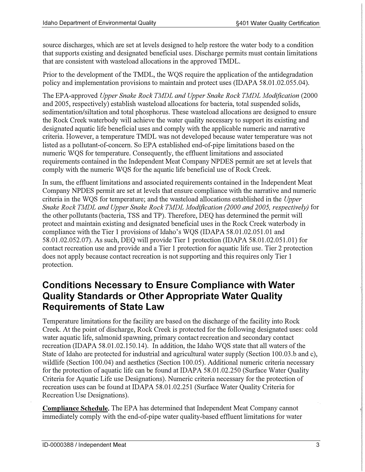source discharges, which are set at levels designed to help restore the water body to a condition that supports existing and designated beneficial uses. Discharge permits must contain limitations that are consistent with wasteload allocations in the approved TMDL.

Prior to the development of the TMDL, the WQS require the application of the antidegradation policy and implementation provisions to maintain and protect uses (IDAPA 58.01.02.055.04).

The EPA-approved Upper Snake Rock TMDL and Upper Snake Rock TMDL Modification (2000 and 2005, respectively) establish wasteload allocations for bacteria, total suspended solids, sedimentation/siltation and total phosphorus. These wasteload allocations are designed to ensure the Rock Creek waterbody will achieve the water quality necessary to support its existing and designated aquatic life beneficial uses and comply with the applicable numeric and narrative criteria. However, a temperature TMDL was not developed because water temperature was not listed as a pollutant-of-concern. So EPA established end-of-pipe limitations based on the numeric WQS for temperature. Consequently, the effluent limitations and associated requirements contained in the Independent Meat Company NPDES permit are set at levels that comply with the numeric WQS for the aquatic life beneficial use of Rock Creek.

In sum, the effluent limitations and associated requirements contained in the Independent Meat Company NPDES permit are set at levels that ensure compliance with the narrative and numeric criteria in the WQS for temperature; and the wasteload allocations established in the Upper Snake Rock TMDL and Upper Snake Rock TMDL Modification (2000 and 2005, respectively) for the other pollutants (bacteria, TSS and TP). Therefore, DEO has determined the permit will protect and maintain existing and designated beneficial uses in the Rock Creek waterbody in compliance with the Tier 1 provisions of Idaho's WQS (IDAPA 58.01.02.051.01 and 58.01.02.052.07). As such, DEQ will provide Tier 1 protection (IDAPA 58.01.02.051.01) for contact recreation use and provide and a Tier 1 protection for aquatic life use. Tier 2 protection does not apply because contact recreation is not supporting and this requires only Tier 1 protection.

# Conditions Necessary to Ensure Compliance with Water Quality Standards or Other Appropriate Water Quality Requirements of State Law

Temperature limitations for the facility are based on the discharge of the facility into Rock Creek. At the point of discharge, Rock Creek is protected for the following designated uses: cold water aquatic life, salmonid spawning, primary contact recreation and secondary contact recreation (IDAPA 58.01.02.150.14). In addition, the Idaho WQS state that all waters of the State of Idaho are protected for industrial and agricultural water supply (Section 100.03.b and c), wildlife (Section 100.04) and aesthetics (Section 100.05). Additional numeric criteria necessary for the protection of aquatic life can be found at IDAPA 58.01.02.250 (Surface Water Quality Criteria for Aquatic Life use Designations). Numeric criteria necessary for the protection of recreation uses can be found at IDAPA 58.01.02.251 (Surface Water Quality Criteria for Recreation Use Designations).

**Compliance Schedule.** The EPA has determined that Independent Meat Company cannot immediately comply with the end-of-pipe water quality-based effluent limitations for water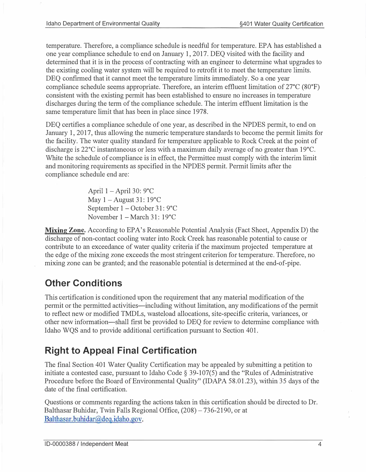temperature. Therefore, a compliance schedule is needful for temperature. EPA has established a one year compliance schedule to end on January 1, 2017. DEQ visited with the facility and determined that it is in the process of contracting with an engineer to determine what upgrades to the existing cooling water system will be required to retrofit it to meet the temperature limits. DEQ confirmed that it cannot meet the temperature limits immediately. So a one year compliance schedule seems appropriate. Therefore, an interim effluent limitation of 27°C (80°F) consistent with the existing permit has been established to ensure no increases in temperature discharges during the term of the compliance schedule. The interim effluent limitation is the same temperature limit that has been in place since 1978.

DEQ certifies a compliance schedule of one year, as described in the NPDES permit, to end on January 1, 2017, thus allowing the numeric temperature standards to become the permit limits for the facility. The water quality standard for temperature applicable to Rock Creek at the point of discharge is 22°C instantaneous or less with a maximum daily average of no greater than 19°C. White the schedule of compliance is in effect, the Permittee must comply with the interim limit and monitoring requirements as specified in the NPDES permit. Permit limits after the compliance schedule end are:

> April  $1 -$ April 30: 9 $^{\circ}$ C May  $1 -$ August 31: 19 $^{\circ}$ C September 1 – October 31: 9°C November 1 - March 31: 19°C

**Mixing Zone.** According to EPA's Reasonable Potential Analysis (Fact Sheet, Appendix D) the discharge of non-contact cooling water into Rock Creek has reasonable potential to cause or contribute to an exceedance of water quality criteria if the maximum projected temperature at the edge of the mixing zone exceeds the most stringent criterion for temperature. Therefore, no mixing zone can be granted; and the reasonable potential is determined at the end-of-pipe.

# Other Conditions

This certification is conditioned upon the requirement that any material modification of the permit or the permitted activities—including without limitation, any modifications of the permit to reflect new or modified TMDLs, wasteload allocations, site-specific criteria, variances, or other new information-shall first be provided to DEQ for review to determine compliance with Idaho WQS and to provide additional certification pursuant to Section 401.

# Right to Appeal Final Certification

The final Section 401 Water Quality Certification may be appealed by submitting a petition to initiate a contested case, pursuant to Idaho Code§ 39-107(5) and the "Rules of Administrative Procedure before the Board of Environmental Quality" (IDAPA 58.01.23), within 35 days of the date of the final certification.

Balthasar.buhidar@deq.idaho.gov. Questions or comments regarding the actions taken in this certification should be directed to Dr. Balthasar Buhidar, Twin Falls Regional Office, (208)-736-2190, or at